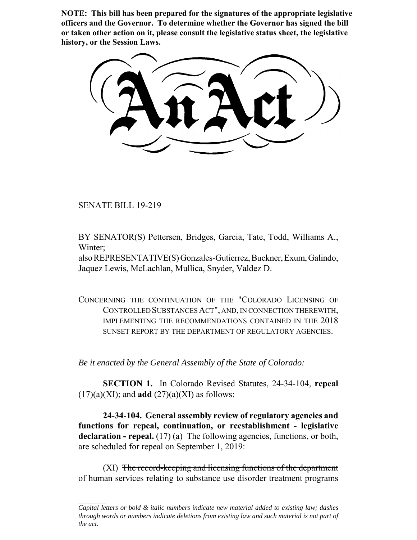**NOTE: This bill has been prepared for the signatures of the appropriate legislative officers and the Governor. To determine whether the Governor has signed the bill or taken other action on it, please consult the legislative status sheet, the legislative history, or the Session Laws.**

SENATE BILL 19-219

BY SENATOR(S) Pettersen, Bridges, Garcia, Tate, Todd, Williams A., Winter;

also REPRESENTATIVE(S) Gonzales-Gutierrez, Buckner, Exum, Galindo, Jaquez Lewis, McLachlan, Mullica, Snyder, Valdez D.

CONCERNING THE CONTINUATION OF THE "COLORADO LICENSING OF CONTROLLED SUBSTANCES ACT", AND, IN CONNECTION THEREWITH, IMPLEMENTING THE RECOMMENDATIONS CONTAINED IN THE 2018 SUNSET REPORT BY THE DEPARTMENT OF REGULATORY AGENCIES.

*Be it enacted by the General Assembly of the State of Colorado:*

**SECTION 1.** In Colorado Revised Statutes, 24-34-104, **repeal**  $(17)(a)(XI)$ ; and **add**  $(27)(a)(XI)$  as follows:

**24-34-104. General assembly review of regulatory agencies and functions for repeal, continuation, or reestablishment - legislative** declaration - repeal. (17) (a) The following agencies, functions, or both, are scheduled for repeal on September 1, 2019:

(XI) The record-keeping and licensing functions of the department of human services relating to substance use disorder treatment programs

*Capital letters or bold & italic numbers indicate new material added to existing law; dashes through words or numbers indicate deletions from existing law and such material is not part of the act.*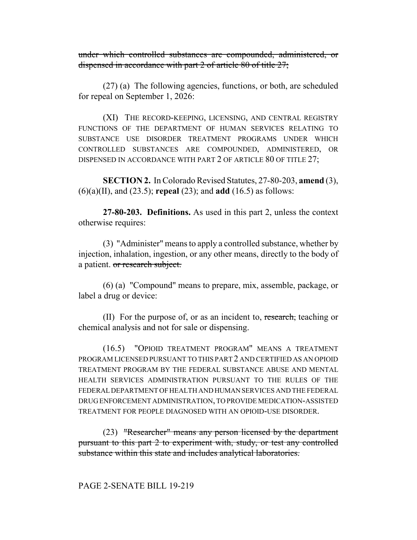under which controlled substances are compounded, administered, or dispensed in accordance with part 2 of article 80 of title 27;

(27) (a) The following agencies, functions, or both, are scheduled for repeal on September 1, 2026:

(XI) THE RECORD-KEEPING, LICENSING, AND CENTRAL REGISTRY FUNCTIONS OF THE DEPARTMENT OF HUMAN SERVICES RELATING TO SUBSTANCE USE DISORDER TREATMENT PROGRAMS UNDER WHICH CONTROLLED SUBSTANCES ARE COMPOUNDED, ADMINISTERED, OR DISPENSED IN ACCORDANCE WITH PART 2 OF ARTICLE 80 OF TITLE 27;

**SECTION 2.** In Colorado Revised Statutes, 27-80-203, **amend** (3), (6)(a)(II), and (23.5); **repeal** (23); and **add** (16.5) as follows:

**27-80-203. Definitions.** As used in this part 2, unless the context otherwise requires:

(3) "Administer" means to apply a controlled substance, whether by injection, inhalation, ingestion, or any other means, directly to the body of a patient. or research subject.

(6) (a) "Compound" means to prepare, mix, assemble, package, or label a drug or device:

(II) For the purpose of, or as an incident to, research, teaching or chemical analysis and not for sale or dispensing.

(16.5) "OPIOID TREATMENT PROGRAM" MEANS A TREATMENT PROGRAM LICENSED PURSUANT TO THIS PART 2 AND CERTIFIED AS AN OPIOID TREATMENT PROGRAM BY THE FEDERAL SUBSTANCE ABUSE AND MENTAL HEALTH SERVICES ADMINISTRATION PURSUANT TO THE RULES OF THE FEDERAL DEPARTMENT OF HEALTH AND HUMAN SERVICES AND THE FEDERAL DRUG ENFORCEMENT ADMINISTRATION, TO PROVIDE MEDICATION-ASSISTED TREATMENT FOR PEOPLE DIAGNOSED WITH AN OPIOID-USE DISORDER.

(23) "Researcher" means any person licensed by the department pursuant to this part 2 to experiment with, study, or test any controlled substance within this state and includes analytical laboratories.

# PAGE 2-SENATE BILL 19-219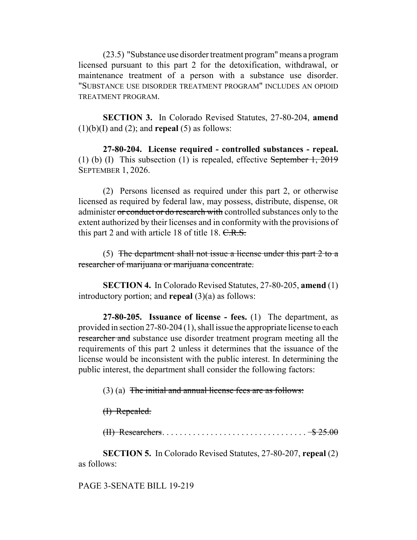(23.5) "Substance use disorder treatment program" means a program licensed pursuant to this part 2 for the detoxification, withdrawal, or maintenance treatment of a person with a substance use disorder. "SUBSTANCE USE DISORDER TREATMENT PROGRAM" INCLUDES AN OPIOID TREATMENT PROGRAM.

**SECTION 3.** In Colorado Revised Statutes, 27-80-204, **amend**  $(1)(b)(I)$  and  $(2)$ ; and **repeal**  $(5)$  as follows:

**27-80-204. License required - controlled substances - repeal.** (1) (b) (I) This subsection (1) is repealed, effective September 1, 2019 SEPTEMBER 1, 2026.

(2) Persons licensed as required under this part 2, or otherwise licensed as required by federal law, may possess, distribute, dispense, OR administer or conduct or do research with controlled substances only to the extent authorized by their licenses and in conformity with the provisions of this part 2 and with article 18 of title 18.  $C.R.S.$ 

(5) The department shall not issue a license under this part  $2$  to a researcher of marijuana or marijuana concentrate.

**SECTION 4.** In Colorado Revised Statutes, 27-80-205, **amend** (1) introductory portion; and **repeal** (3)(a) as follows:

**27-80-205. Issuance of license - fees.** (1) The department, as provided in section 27-80-204 (1), shall issue the appropriate license to each researcher and substance use disorder treatment program meeting all the requirements of this part 2 unless it determines that the issuance of the license would be inconsistent with the public interest. In determining the public interest, the department shall consider the following factors:

(3) (a) The initial and annual license fees are as follows:

# (I) Repealed.

(II) Researchers................................. \$ 25.00

**SECTION 5.** In Colorado Revised Statutes, 27-80-207, **repeal** (2) as follows:

## PAGE 3-SENATE BILL 19-219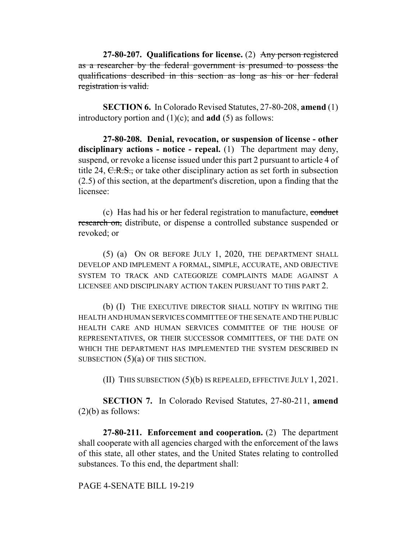**27-80-207. Qualifications for license.** (2) Any person registered as a researcher by the federal government is presumed to possess the qualifications described in this section as long as his or her federal registration is valid.

**SECTION 6.** In Colorado Revised Statutes, 27-80-208, **amend** (1) introductory portion and (1)(c); and **add** (5) as follows:

**27-80-208. Denial, revocation, or suspension of license - other disciplinary actions - notice - repeal.** (1) The department may deny, suspend, or revoke a license issued under this part 2 pursuant to article 4 of title 24, C.R.S., or take other disciplinary action as set forth in subsection (2.5) of this section, at the department's discretion, upon a finding that the licensee:

(c) Has had his or her federal registration to manufacture, conduct research on, distribute, or dispense a controlled substance suspended or revoked; or

(5) (a) ON OR BEFORE JULY 1, 2020, THE DEPARTMENT SHALL DEVELOP AND IMPLEMENT A FORMAL, SIMPLE, ACCURATE, AND OBJECTIVE SYSTEM TO TRACK AND CATEGORIZE COMPLAINTS MADE AGAINST A LICENSEE AND DISCIPLINARY ACTION TAKEN PURSUANT TO THIS PART 2.

(b) (I) THE EXECUTIVE DIRECTOR SHALL NOTIFY IN WRITING THE HEALTH AND HUMAN SERVICES COMMITTEE OF THE SENATE AND THE PUBLIC HEALTH CARE AND HUMAN SERVICES COMMITTEE OF THE HOUSE OF REPRESENTATIVES, OR THEIR SUCCESSOR COMMITTEES, OF THE DATE ON WHICH THE DEPARTMENT HAS IMPLEMENTED THE SYSTEM DESCRIBED IN SUBSECTION (5)(a) OF THIS SECTION.

(II) THIS SUBSECTION (5)(b) IS REPEALED, EFFECTIVE JULY 1, 2021.

**SECTION 7.** In Colorado Revised Statutes, 27-80-211, **amend**  $(2)(b)$  as follows:

**27-80-211. Enforcement and cooperation.** (2) The department shall cooperate with all agencies charged with the enforcement of the laws of this state, all other states, and the United States relating to controlled substances. To this end, the department shall:

PAGE 4-SENATE BILL 19-219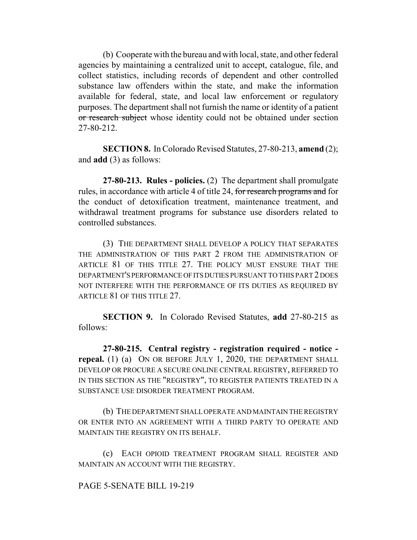(b) Cooperate with the bureau and with local, state, and other federal agencies by maintaining a centralized unit to accept, catalogue, file, and collect statistics, including records of dependent and other controlled substance law offenders within the state, and make the information available for federal, state, and local law enforcement or regulatory purposes. The department shall not furnish the name or identity of a patient or research subject whose identity could not be obtained under section 27-80-212.

**SECTION 8.** In Colorado Revised Statutes, 27-80-213, **amend** (2); and **add** (3) as follows:

**27-80-213. Rules - policies.** (2) The department shall promulgate rules, in accordance with article 4 of title 24, for research programs and for the conduct of detoxification treatment, maintenance treatment, and withdrawal treatment programs for substance use disorders related to controlled substances.

(3) THE DEPARTMENT SHALL DEVELOP A POLICY THAT SEPARATES THE ADMINISTRATION OF THIS PART 2 FROM THE ADMINISTRATION OF ARTICLE 81 OF THIS TITLE 27. THE POLICY MUST ENSURE THAT THE DEPARTMENT'S PERFORMANCE OF ITS DUTIES PURSUANT TO THIS PART 2 DOES NOT INTERFERE WITH THE PERFORMANCE OF ITS DUTIES AS REQUIRED BY ARTICLE 81 OF THIS TITLE 27.

**SECTION 9.** In Colorado Revised Statutes, **add** 27-80-215 as follows:

**27-80-215. Central registry - registration required - notice repeal.** (1) (a) ON OR BEFORE JULY 1, 2020, THE DEPARTMENT SHALL DEVELOP OR PROCURE A SECURE ONLINE CENTRAL REGISTRY, REFERRED TO IN THIS SECTION AS THE "REGISTRY", TO REGISTER PATIENTS TREATED IN A SUBSTANCE USE DISORDER TREATMENT PROGRAM.

(b) THE DEPARTMENT SHALL OPERATE AND MAINTAIN THE REGISTRY OR ENTER INTO AN AGREEMENT WITH A THIRD PARTY TO OPERATE AND MAINTAIN THE REGISTRY ON ITS BEHALF.

(c) EACH OPIOID TREATMENT PROGRAM SHALL REGISTER AND MAINTAIN AN ACCOUNT WITH THE REGISTRY.

# PAGE 5-SENATE BILL 19-219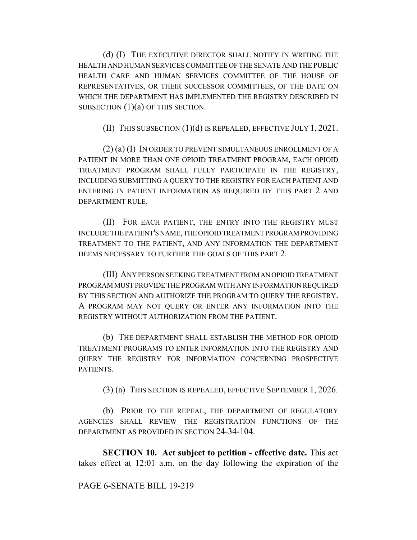(d) (I) THE EXECUTIVE DIRECTOR SHALL NOTIFY IN WRITING THE HEALTH AND HUMAN SERVICES COMMITTEE OF THE SENATE AND THE PUBLIC HEALTH CARE AND HUMAN SERVICES COMMITTEE OF THE HOUSE OF REPRESENTATIVES, OR THEIR SUCCESSOR COMMITTEES, OF THE DATE ON WHICH THE DEPARTMENT HAS IMPLEMENTED THE REGISTRY DESCRIBED IN SUBSECTION  $(1)(a)$  OF THIS SECTION.

(II) THIS SUBSECTION (1)(d) IS REPEALED, EFFECTIVE JULY 1, 2021.

(2) (a) (I) IN ORDER TO PREVENT SIMULTANEOUS ENROLLMENT OF A PATIENT IN MORE THAN ONE OPIOID TREATMENT PROGRAM, EACH OPIOID TREATMENT PROGRAM SHALL FULLY PARTICIPATE IN THE REGISTRY, INCLUDING SUBMITTING A QUERY TO THE REGISTRY FOR EACH PATIENT AND ENTERING IN PATIENT INFORMATION AS REQUIRED BY THIS PART 2 AND DEPARTMENT RULE.

(II) FOR EACH PATIENT, THE ENTRY INTO THE REGISTRY MUST INCLUDE THE PATIENT'S NAME, THE OPIOID TREATMENT PROGRAM PROVIDING TREATMENT TO THE PATIENT, AND ANY INFORMATION THE DEPARTMENT DEEMS NECESSARY TO FURTHER THE GOALS OF THIS PART 2.

(III) ANY PERSON SEEKING TREATMENT FROM AN OPIOID TREATMENT PROGRAM MUST PROVIDE THE PROGRAM WITH ANY INFORMATION REQUIRED BY THIS SECTION AND AUTHORIZE THE PROGRAM TO QUERY THE REGISTRY. A PROGRAM MAY NOT QUERY OR ENTER ANY INFORMATION INTO THE REGISTRY WITHOUT AUTHORIZATION FROM THE PATIENT.

(b) THE DEPARTMENT SHALL ESTABLISH THE METHOD FOR OPIOID TREATMENT PROGRAMS TO ENTER INFORMATION INTO THE REGISTRY AND QUERY THE REGISTRY FOR INFORMATION CONCERNING PROSPECTIVE PATIENTS.

(3) (a) THIS SECTION IS REPEALED, EFFECTIVE SEPTEMBER 1, 2026.

(b) PRIOR TO THE REPEAL, THE DEPARTMENT OF REGULATORY AGENCIES SHALL REVIEW THE REGISTRATION FUNCTIONS OF THE DEPARTMENT AS PROVIDED IN SECTION 24-34-104.

**SECTION 10. Act subject to petition - effective date.** This act takes effect at 12:01 a.m. on the day following the expiration of the

### PAGE 6-SENATE BILL 19-219